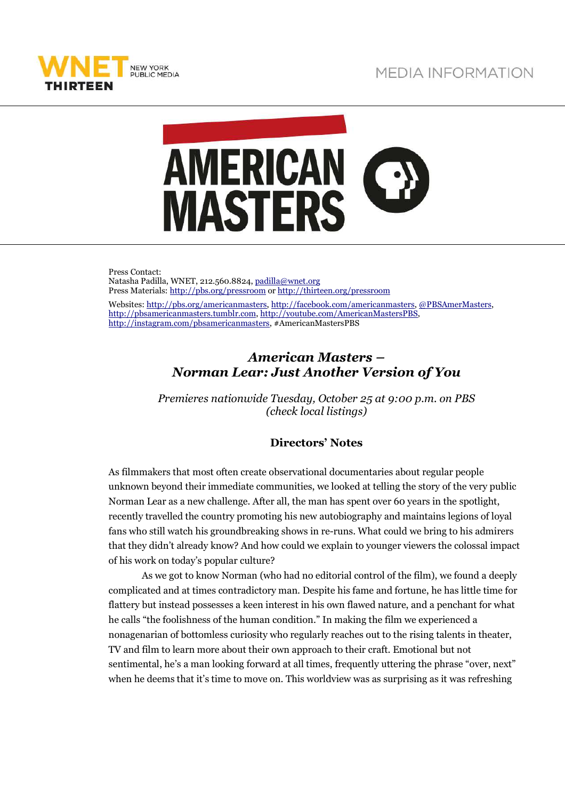



Press Contact: Natasha Padilla, WNET, 212.560.8824, padilla@wnet.org Press Materials: http://pbs.org/pressroom or http://thirteen.org/pressroom Websites: http://pbs.org/americanmasters, http://facebook.com/americanmasters, @PBSAmerMasters, http://pbsamericanmasters.tumblr.com, http://youtube.com/AmericanMastersPBS, http://instagram.com/pbsamericanmasters, #AmericanMastersPBS

## *American Masters – Norman Lear: Just Another Version of You*

*Premieres nationwide Tuesday, October 25 at 9:00 p.m. on PBS (check local listings)* 

## **Directors' Notes**

As filmmakers that most often create observational documentaries about regular people unknown beyond their immediate communities, we looked at telling the story of the very public Norman Lear as a new challenge. After all, the man has spent over 60 years in the spotlight, recently travelled the country promoting his new autobiography and maintains legions of loyal fans who still watch his groundbreaking shows in re-runs. What could we bring to his admirers that they didn't already know? And how could we explain to younger viewers the colossal impact of his work on today's popular culture?

As we got to know Norman (who had no editorial control of the film), we found a deeply complicated and at times contradictory man. Despite his fame and fortune, he has little time for flattery but instead possesses a keen interest in his own flawed nature, and a penchant for what he calls "the foolishness of the human condition." In making the film we experienced a nonagenarian of bottomless curiosity who regularly reaches out to the rising talents in theater, TV and film to learn more about their own approach to their craft. Emotional but not sentimental, he's a man looking forward at all times, frequently uttering the phrase "over, next" when he deems that it's time to move on. This worldview was as surprising as it was refreshing